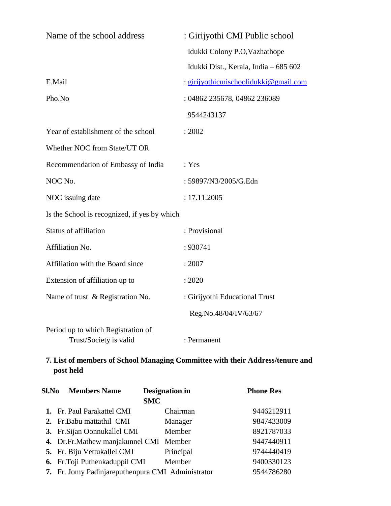| Name of the school address                                   | : Girijyothi CMI Public school        |  |  |  |
|--------------------------------------------------------------|---------------------------------------|--|--|--|
|                                                              | Idukki Colony P.O, Vazhathope         |  |  |  |
|                                                              | Idukki Dist., Kerala, India - 685 602 |  |  |  |
| E.Mail                                                       | : girijyothicmischoolidukki@gmail.com |  |  |  |
| Pho.No                                                       | : 04862 235678, 04862 236089          |  |  |  |
|                                                              | 9544243137                            |  |  |  |
| Year of establishment of the school                          | : 2002                                |  |  |  |
| Whether NOC from State/UT OR                                 |                                       |  |  |  |
| Recommendation of Embassy of India                           | : Yes                                 |  |  |  |
| NOC No.                                                      | : 59897/N3/2005/G.Edn                 |  |  |  |
| NOC issuing date                                             | : 17.11.2005                          |  |  |  |
| Is the School is recognized, if yes by which                 |                                       |  |  |  |
| <b>Status of affiliation</b>                                 | : Provisional                         |  |  |  |
| Affiliation No.                                              | : 930741                              |  |  |  |
| Affiliation with the Board since                             | : 2007                                |  |  |  |
| Extension of affiliation up to                               | : 2020                                |  |  |  |
| Name of trust & Registration No.                             | : Girijyothi Educational Trust        |  |  |  |
|                                                              | Reg.No.48/04/IV/63/67                 |  |  |  |
| Period up to which Registration of<br>Trust/Society is valid | : Permanent                           |  |  |  |

# **7. List of members of School Managing Committee with their Address/tenure and post held**

| <b>Members Name</b><br>Sl.No |                                                   | <b>Designation</b> in | <b>Phone Res</b> |
|------------------------------|---------------------------------------------------|-----------------------|------------------|
|                              | <b>SMC</b>                                        |                       |                  |
|                              | 1. Fr. Paul Parakattel CMI                        | Chairman              | 9446212911       |
|                              | 2. Fr. Babu mattathil CMI                         | Manager               | 9847433009       |
|                              | 3. Fr. Sijan Oonnukallel CMI                      | Member                | 8921787033       |
|                              | 4. Dr.Fr.Mathew manjakunnel CMI                   | Member                | 9447440911       |
|                              | 5. Fr. Biju Vettukallel CMI                       | Principal             | 9744440419       |
|                              | 6. Fr. Toji Puthenkaduppil CMI                    | Member                | 9400330123       |
|                              | 7. Fr. Jomy Padinjareputhenpura CMI Administrator |                       | 9544786280       |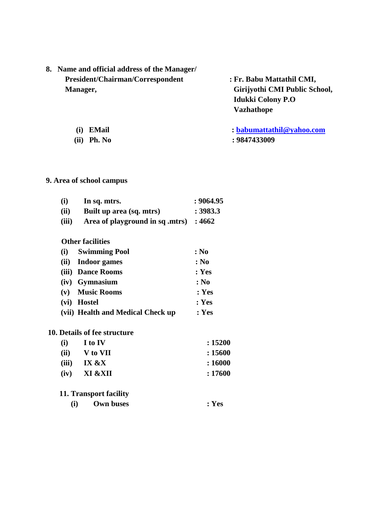| 8. Name and official address of the Manager/ |
|----------------------------------------------|
| <b>President/Chairman/Correspondent</b>      |
| <b>Manager,</b>                              |

 **President/Chairman/Correspondent : Fr. Babu Mattathil CMI, Girijyothi CMI Public School, Idukki Colony P.O Vazhathope** 

**(i) EMail : [babumattathil@yahoo.com](mailto:babumattathil@yahoo.com) (ii) Ph. No : 9847433009**

## **9. Area of school campus**

| (i)   | In sq. mtrs.                           | : 9064.95 |
|-------|----------------------------------------|-----------|
| (ii)  | Built up area (sq. mtrs)               | : 3983.3  |
| (iii) | Area of playground in sq .mtrs) : 4662 |           |

#### **Other facilities**

|      | (i) Swimming Pool                 | : No  |
|------|-----------------------------------|-------|
| (ii) | <b>Indoor games</b>               | : No  |
|      | (iii) Dance Rooms                 | : Yes |
|      | (iv) Gymnasium                    | : No  |
|      | (v) Music Rooms                   | : Yes |
|      | (vi) Hostel                       | : Yes |
|      | (vii) Health and Medical Check up | : Yes |

#### **10. Details of fee structure**

| (i)   | I to IV  | : 15200 |
|-------|----------|---------|
| (ii)  | V to VII | : 15600 |
| (iii) | IX &X    | : 16000 |
| (iv)  | XI &XII  | : 17600 |

## **11. Transport facility**

 **(i) Own buses : Yes**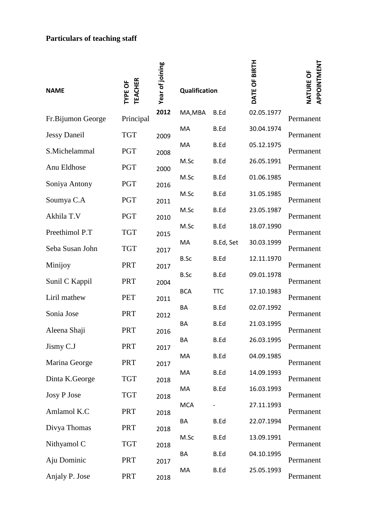## **Particulars of teaching staff**

| <b>NAME</b>         | <b>TEACHER</b><br>TYPE OF | Year of joining | Qualification |             | DATE OF BIRTH | APPOINTMENT<br>NATURE OF |  |
|---------------------|---------------------------|-----------------|---------------|-------------|---------------|--------------------------|--|
| Fr.Bijumon George   | Principal                 | 2012            | MA,MBA        | <b>B.Ed</b> | 02.05.1977    | Permanent                |  |
| <b>Jessy Daneil</b> | <b>TGT</b>                | 2009            | MA            | <b>B.Ed</b> | 30.04.1974    | Permanent                |  |
| S.Michelammal       | <b>PGT</b>                | 2008            | MA            | B.Ed        | 05.12.1975    | Permanent                |  |
| Anu Eldhose         | PGT                       | 2000            | M.Sc          | B.Ed        | 26.05.1991    | Permanent                |  |
| Soniya Antony       | <b>PGT</b>                | 2016            | M.Sc          | B.Ed        | 01.06.1985    | Permanent                |  |
| Soumya C.A          | <b>PGT</b>                | 2011            | M.Sc          | <b>B.Ed</b> | 31.05.1985    | Permanent                |  |
| Akhila T.V          | <b>PGT</b>                | 2010            | M.Sc          | B.Ed        | 23.05.1987    | Permanent                |  |
| Preethimol P.T      | <b>TGT</b>                | 2015            | M.Sc          | B.Ed        | 18.07.1990    | Permanent                |  |
| Seba Susan John     | <b>TGT</b>                | 2017            | MA            | B.Ed, Set   | 30.03.1999    | Permanent                |  |
| Minijoy             | <b>PRT</b>                | 2017            | B.Sc          | <b>B.Ed</b> | 12.11.1970    | Permanent                |  |
| Sunil C Kappil      | <b>PRT</b>                | 2004            | B.Sc          | B.Ed        | 09.01.1978    | Permanent                |  |
| Liril mathew        | <b>PET</b>                | 2011            | <b>BCA</b>    | <b>TTC</b>  | 17.10.1983    | Permanent                |  |
| Sonia Jose          | <b>PRT</b>                | 2012            | BA            | <b>B.Ed</b> | 02.07.1992    | Permanent                |  |
| Aleena Shaji        | <b>PRT</b>                | 2016            | BA            | <b>B.Ed</b> | 21.03.1995    | Permanent                |  |
| Jismy C.J           | <b>PRT</b>                | 2017            | BA            | B.Ed        | 26.03.1995    | Permanent                |  |
| Marina George       | PRT                       | 2017            | МA            | B.Ed        | 04.09.1985    | Permanent                |  |
| Dinta K.George      | <b>TGT</b>                | 2018            | MA            | B.Ed        | 14.09.1993    | Permanent                |  |
| Josy P Jose         | <b>TGT</b>                |                 | MA            | B.Ed        | 16.03.1993    | Permanent                |  |
| Amlamol K.C         | <b>PRT</b>                | 2018            | <b>MCA</b>    |             | 27.11.1993    | Permanent                |  |
| Divya Thomas        | <b>PRT</b>                | 2018            | BA            | B.Ed        | 22.07.1994    | Permanent                |  |
| Nithyamol C         | <b>TGT</b>                | 2018            | M.Sc          | B.Ed        | 13.09.1991    | Permanent                |  |
| Aju Dominic         | <b>PRT</b>                | 2018            | BA            | <b>B.Ed</b> | 04.10.1995    | Permanent                |  |
| Anjaly P. Jose      | <b>PRT</b>                | 2017<br>2018    | MA            | B.Ed        | 25.05.1993    | Permanent                |  |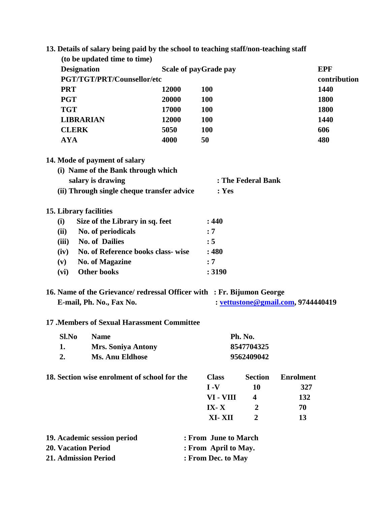|                             | 13. Details of salary being paid by the school to teaching staff/non-teaching staff                |       |                              |                    |                                    |              |
|-----------------------------|----------------------------------------------------------------------------------------------------|-------|------------------------------|--------------------|------------------------------------|--------------|
|                             | (to be updated time to time)                                                                       |       |                              |                    |                                    |              |
| <b>Designation</b>          |                                                                                                    |       | <b>Scale of payGrade pay</b> |                    |                                    | <b>EPF</b>   |
|                             | <b>PGT/TGT/PRT/Counsellor/etc</b>                                                                  |       |                              |                    |                                    | contribution |
| <b>PRT</b>                  |                                                                                                    | 12000 | <b>100</b>                   |                    |                                    | 1440         |
| <b>PGT</b>                  |                                                                                                    | 20000 | <b>100</b>                   |                    |                                    | 1800         |
| <b>TGT</b>                  |                                                                                                    | 17000 | <b>100</b>                   |                    |                                    | 1800         |
| <b>LIBRARIAN</b>            |                                                                                                    | 12000 | <b>100</b>                   |                    |                                    | 1440         |
| <b>CLERK</b>                |                                                                                                    | 5050  | <b>100</b>                   |                    |                                    | 606          |
| <b>AYA</b>                  |                                                                                                    | 4000  | 50                           |                    |                                    | 480          |
|                             | 14. Mode of payment of salary                                                                      |       |                              |                    |                                    |              |
|                             | (i) Name of the Bank through which                                                                 |       |                              |                    |                                    |              |
|                             | salary is drawing                                                                                  |       |                              | : The Federal Bank |                                    |              |
|                             | (ii) Through single cheque transfer advice                                                         |       | : Yes                        |                    |                                    |              |
| 15. Library facilities      |                                                                                                    |       |                              |                    |                                    |              |
| (i)                         | Size of the Library in sq. feet                                                                    |       | : 440                        |                    |                                    |              |
| (ii)                        | No. of periodicals                                                                                 |       | : 7                          |                    |                                    |              |
| (iii)                       | <b>No. of Dailies</b>                                                                              |       | : 5                          |                    |                                    |              |
| (iv)                        | No. of Reference books class- wise                                                                 |       | :480                         |                    |                                    |              |
| (v)                         | <b>No. of Magazine</b>                                                                             |       | : 7                          |                    |                                    |              |
| (vi)                        | <b>Other books</b>                                                                                 |       | : 3190                       |                    |                                    |              |
|                             |                                                                                                    |       |                              |                    |                                    |              |
|                             | 16. Name of the Grievance/ redressal Officer with : Fr. Bijumon George<br>E-mail, Ph. No., Fax No. |       |                              |                    | : vettustone@gmail.com, 9744440419 |              |
|                             |                                                                                                    |       |                              |                    |                                    |              |
|                             | <b>17 .Members of Sexual Harassment Committee</b>                                                  |       |                              |                    |                                    |              |
| Sl.No                       | <b>Name</b>                                                                                        |       |                              | Ph. No.            |                                    |              |
| 1.                          | <b>Mrs. Soniya Antony</b>                                                                          |       |                              | 8547704325         |                                    |              |
| 2.                          | <b>Ms. Anu Eldhose</b>                                                                             |       |                              | 9562409042         |                                    |              |
|                             | 18. Section wise enrolment of school for the                                                       |       | <b>Class</b>                 | <b>Section</b>     | <b>Enrolment</b>                   |              |
|                             |                                                                                                    |       | $I - V$                      | 10                 | 327                                |              |
|                             |                                                                                                    |       | VI - VIII                    | 4                  | 132                                |              |
|                             |                                                                                                    |       | $IX - X$                     | $\boldsymbol{2}$   | 70                                 |              |
|                             |                                                                                                    |       | XI-XII                       | $\overline{2}$     | 13                                 |              |
|                             | 19. Academic session period                                                                        |       | : From June to March         |                    |                                    |              |
| <b>20. Vacation Period</b>  |                                                                                                    |       | : From April to May.         |                    |                                    |              |
| <b>21. Admission Period</b> |                                                                                                    |       | : From Dec. to May           |                    |                                    |              |
|                             |                                                                                                    |       |                              |                    |                                    |              |